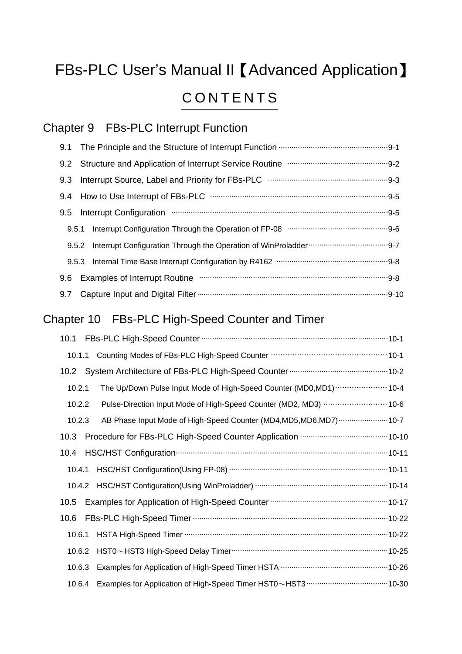# FBs-PLC User's Manual II 【Advanced Application】 **CONTENTS**

# Chapter 9 FBs-PLC Interrupt Function

| The Principle and the Structure of Interrupt Function ……………………………………………9-1<br>9.1                                                                                                                                                     |
|---------------------------------------------------------------------------------------------------------------------------------------------------------------------------------------------------------------------------------------|
| Structure and Application of Interrupt Service Routine manufacture and Application of Interrupt Service Routine<br>9.2                                                                                                                |
| 9.3                                                                                                                                                                                                                                   |
| 9.4                                                                                                                                                                                                                                   |
| Interrupt Configuration manufactured and the configuration of the continuum contract of the configuration of the contract of the contract of the contract of the contract of the contract of the contract of the contract of t<br>9.5 |
| Interrupt Configuration Through the Operation of FP-08 manufactured continuum manufactured.<br>9.5.1                                                                                                                                  |
| 9.5.2                                                                                                                                                                                                                                 |
| Internal Time Base Interrupt Configuration by R4162 manufacture manufacture Base Interrupt Configuration by R4162<br>9.5.3                                                                                                            |
| Examples of Interrupt Routine manufacture contracts and all the set of an analysis of Interrupt Routine manufacture<br>9.6                                                                                                            |
| 9.7                                                                                                                                                                                                                                   |
| Chapter 10 FBs-PLC High-Speed Counter and Timer                                                                                                                                                                                       |
| 10.1                                                                                                                                                                                                                                  |
| 10.1.1                                                                                                                                                                                                                                |
|                                                                                                                                                                                                                                       |
| The Up/Down Pulse Input Mode of High-Speed Counter (MD0,MD1)  10-4<br>10.2.1                                                                                                                                                          |
| Pulse-Direction Input Mode of High-Speed Counter (MD2, MD3) ……………………… 10-6<br>10.2.2                                                                                                                                                  |
| AB Phase Input Mode of High-Speed Counter (MD4, MD5, MD6, MD7)  10-7<br>10.2.3                                                                                                                                                        |
|                                                                                                                                                                                                                                       |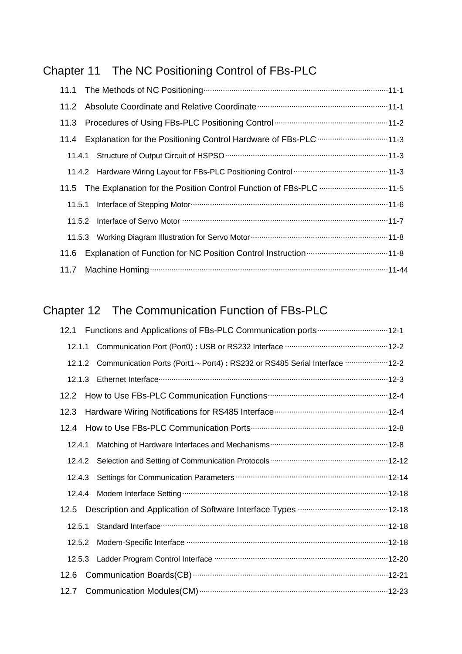# Chapter 11 The NC Positioning Control of FBs-PLC

|        | 11.4 Explanation for the Positioning Control Hardware of FBs-PLC 11-3                                            |
|--------|------------------------------------------------------------------------------------------------------------------|
|        |                                                                                                                  |
|        |                                                                                                                  |
|        | 11.5 The Explanation for the Position Control Function of FBs-PLC 11-5                                           |
| 11.5.1 | Interface of Stepping Motor manufacture and the format and the face of Stepping Motor manufacture and the format |
|        |                                                                                                                  |
|        |                                                                                                                  |
| 11.6   |                                                                                                                  |
|        |                                                                                                                  |

#### Chapter 12 The Communication Function of FBs-PLC

| 12.1   |                                                                                 |
|--------|---------------------------------------------------------------------------------|
| 12.1.1 |                                                                                 |
| 12.1.2 | Communication Ports (Port1~Port4): RS232 or RS485 Serial Interface ………………… 12-2 |
| 12.1.3 |                                                                                 |
| 12.2   |                                                                                 |
| 12.3   |                                                                                 |
| 12.4   |                                                                                 |
| 12.4.1 |                                                                                 |
| 12.4.2 |                                                                                 |
| 12.4.3 |                                                                                 |
| 12.4.4 |                                                                                 |
| 12.5   | Description and Application of Software Interface Types …………………………………… 12-18    |
| 12.5.1 |                                                                                 |
| 12.5.2 |                                                                                 |
| 12.5.3 |                                                                                 |
| 12.6   |                                                                                 |
| 12.7   |                                                                                 |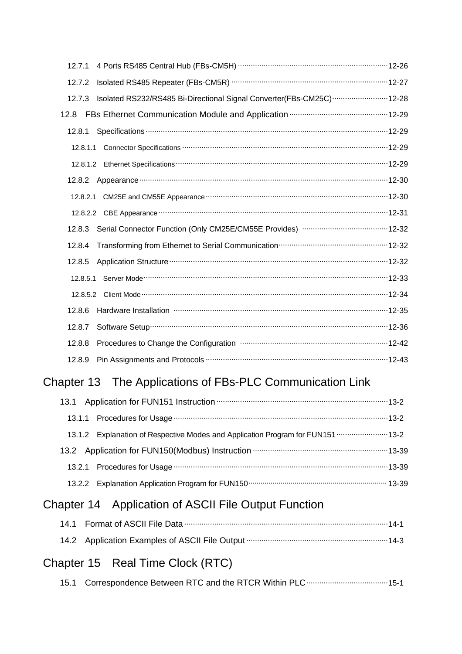| 12.7.1                                                                           |  |
|----------------------------------------------------------------------------------|--|
| 12.7.2                                                                           |  |
| Isolated RS232/RS485 Bi-Directional Signal Converter(FBs-CM25C)  12-28<br>12.7.3 |  |
|                                                                                  |  |
| 12.8.1                                                                           |  |
|                                                                                  |  |
|                                                                                  |  |
| 12.8.2                                                                           |  |
|                                                                                  |  |
|                                                                                  |  |
| 12.8.3                                                                           |  |
| 12.8.4                                                                           |  |
| 12.8.5                                                                           |  |
| 12.8.5.1                                                                         |  |
|                                                                                  |  |
| Hardware Installation minimum minimum minimum minimum minimum 12-35<br>12.8.6    |  |
| 12.8.7                                                                           |  |
| Procedures to Change the Configuration manufacture manufacture 12-42<br>12.8.8   |  |
| 12.8.9                                                                           |  |
| Chapter 13 The Applications of FBs-PLC Communication Link                        |  |
|                                                                                  |  |

| 13.1.2 Explanation of Respective Modes and Application Program for FUN151 13-2 |  |
|--------------------------------------------------------------------------------|--|
|                                                                                |  |
|                                                                                |  |
|                                                                                |  |

# Chapter 14 Application of ASCII File Output Function

### Chapter 15 Real Time Clock (RTC)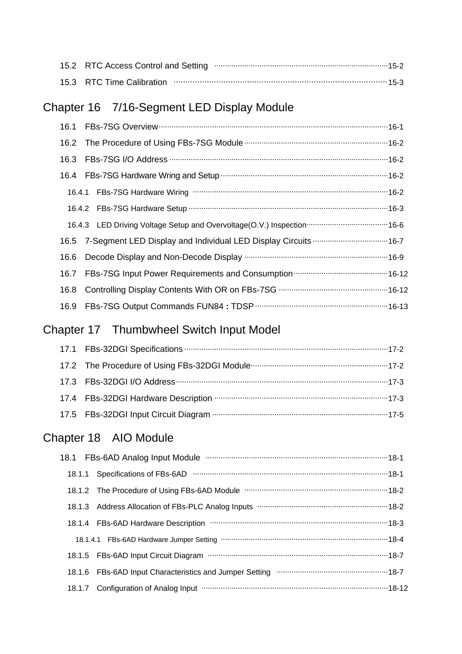|  | 15.2 RTC Access Control and Setting measurements are manufactured and 5-2 |  |
|--|---------------------------------------------------------------------------|--|
|  |                                                                           |  |

#### Chapter 16 7/16-Segment LED Display Module

| 16.1 | FBs-7SG Overview manufacturer manufacturer with the 16-1            |
|------|---------------------------------------------------------------------|
|      |                                                                     |
|      |                                                                     |
|      |                                                                     |
|      |                                                                     |
|      |                                                                     |
|      |                                                                     |
|      | 16.5 7-Segment LED Display and Individual LED Display Circuits 16-7 |
| 16.6 |                                                                     |
| 16.7 |                                                                     |
| 16.8 |                                                                     |
| 16.9 |                                                                     |

# Chapter 17 Thumbwheel Switch Input Model

| 17.2 The Procedure of Using FBs-32DGI Module <b>Constitution Construer 17-2</b> The Procedure of Using FBs-32DGI Module <b>Constitution</b> |  |
|---------------------------------------------------------------------------------------------------------------------------------------------|--|
|                                                                                                                                             |  |
|                                                                                                                                             |  |
|                                                                                                                                             |  |

#### Chapter 18 AIO Module

| 18.1 FBs-6AD Analog Input Module manufacture manufacture manufacture 18-1    |
|------------------------------------------------------------------------------|
| 18.1.1 Specifications of FBs-6AD manufactured contracts and the 18-1         |
|                                                                              |
|                                                                              |
|                                                                              |
|                                                                              |
|                                                                              |
|                                                                              |
| 18.1.7 Configuration of Analog Input manufacture and continuum and the 18-12 |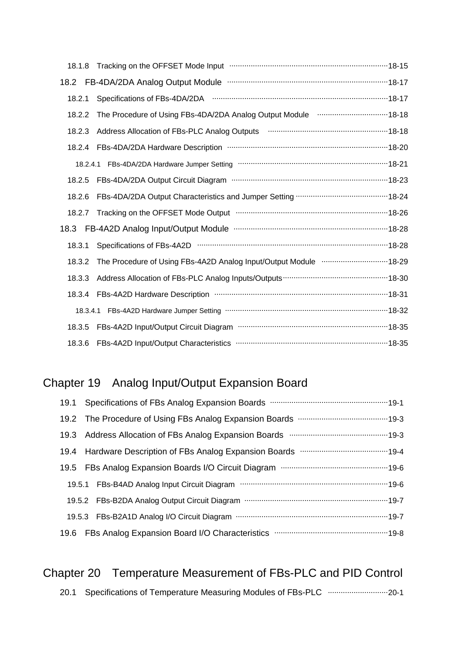| 18.1.8 |                                                                            |
|--------|----------------------------------------------------------------------------|
|        | 18.2 FB-4DA/2DA Analog Output Module manufacture manufacture 18-17         |
| 18.2.1 |                                                                            |
| 18.2.2 | The Procedure of Using FBs-4DA/2DA Analog Output Module manufacture 18-18  |
| 18.2.3 | Address Allocation of FBs-PLC Analog Outputs manufactured and the 18-18    |
| 18.2.4 |                                                                            |
|        |                                                                            |
| 18.2.5 |                                                                            |
| 18.2.6 |                                                                            |
| 18.2.7 | Tracking on the OFFSET Mode Output manufactured and the OFFSET Mode Output |
|        |                                                                            |
| 18.3.1 | Specifications of FBs-4A2D manufactured control and the 18-28              |
| 18.3.2 | The Procedure of Using FBs-4A2D Analog Input/Output Module  18-29          |
| 18.3.3 |                                                                            |
| 18.3.4 |                                                                            |
|        |                                                                            |
| 18.3.5 |                                                                            |
|        |                                                                            |

# Chapter 19 Analog Input/Output Expansion Board

| 19.3 Address Allocation of FBs Analog Expansion Boards manufacture manufacture 19-3 |
|-------------------------------------------------------------------------------------|
|                                                                                     |
|                                                                                     |
|                                                                                     |
|                                                                                     |
|                                                                                     |
|                                                                                     |

#### Chapter 20 Temperature Measurement of FBs-PLC and PID Control 20.1 Specifications of Temperature Measuring Modules of FBs-PLC ............................ 20-1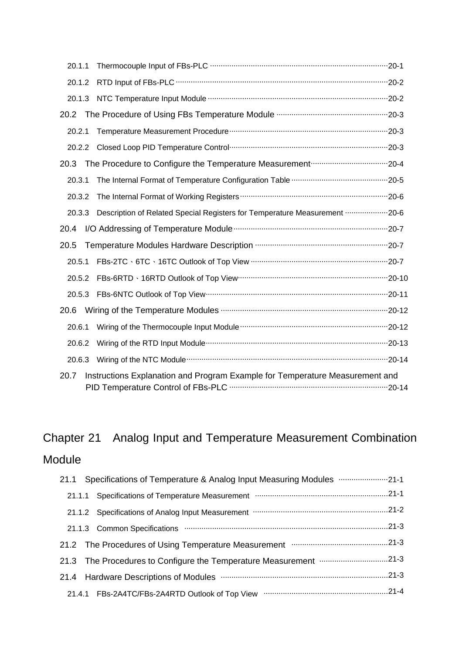| 20.1.1 |                                                                                   |  |  |
|--------|-----------------------------------------------------------------------------------|--|--|
| 20.1.2 |                                                                                   |  |  |
| 20.1.3 |                                                                                   |  |  |
| 20.2   |                                                                                   |  |  |
| 20.2.1 |                                                                                   |  |  |
| 20.2.2 |                                                                                   |  |  |
| 20.3   |                                                                                   |  |  |
| 20.3.1 |                                                                                   |  |  |
| 20.3.2 |                                                                                   |  |  |
| 20.3.3 | Description of Related Special Registers for Temperature Measurement ………………… 20-6 |  |  |
| 20.4   |                                                                                   |  |  |
| 20.5   |                                                                                   |  |  |
| 20.5.1 | FBs-2TC 、6TC 、16TC Outlook of Top View ………………………………………………………………………20-7            |  |  |
| 20.5.2 |                                                                                   |  |  |
| 20.5.3 |                                                                                   |  |  |
| 20.6   |                                                                                   |  |  |
| 20.6.1 |                                                                                   |  |  |
| 20.6.2 |                                                                                   |  |  |
| 20.6.3 |                                                                                   |  |  |
| 20.7   | Instructions Explanation and Program Example for Temperature Measurement and      |  |  |

# Chapter 21 Analog Input and Temperature Measurement Combination

#### Module

| 21.1 Specifications of Temperature & Analog Input Measuring Modules <b>multimary-21-1</b> |
|-------------------------------------------------------------------------------------------|
| 21.1.1 Specifications of Temperature Measurement manufacture manufacture 21-1             |
| 21-1.2 Specifications of Analog Input Measurement manufacture manufacture 21-2            |
| 21.1.3 Common Specifications manufactured communications and 21-3                         |
| 21.2 The Procedures of Using Temperature Measurement manufacture.com21-3                  |
| 21.3 The Procedures to Configure the Temperature Measurement 21-3                         |
|                                                                                           |
|                                                                                           |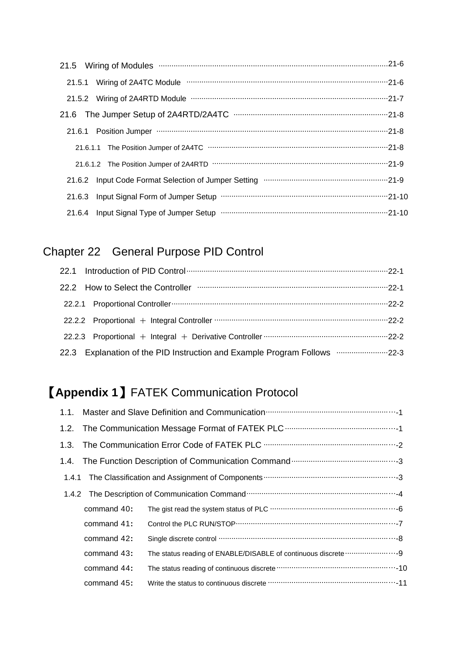| 21.5 Wiring of Modules manufactured and the manufactured Modules (21.5 Wiring of Modules manufactured and the manufactured manufactured and 21-6 |
|--------------------------------------------------------------------------------------------------------------------------------------------------|
| 21.5.1 Wiring of 2A4TC Module manufactured and contact and 21.5.1 Wiring of 2A4TC Module manufactured and contact and the 21-6                   |
|                                                                                                                                                  |
|                                                                                                                                                  |
|                                                                                                                                                  |
|                                                                                                                                                  |
|                                                                                                                                                  |
|                                                                                                                                                  |
|                                                                                                                                                  |
|                                                                                                                                                  |

#### Chapter 22 General Purpose PID Control

| 22.2 How to Select the Controller municipalization and the control of the Controller municipalization and the |  |
|---------------------------------------------------------------------------------------------------------------|--|
|                                                                                                               |  |
|                                                                                                               |  |
|                                                                                                               |  |
| 22.3 Explanation of the PID Instruction and Example Program Follows munical mass-22-3                         |  |

# 【**Appendix 1**】FATEK Communication Protocol

| command 40: |  |
|-------------|--|
| command 41: |  |
| command 42: |  |
| command 43: |  |
| command 44: |  |
| command 45: |  |